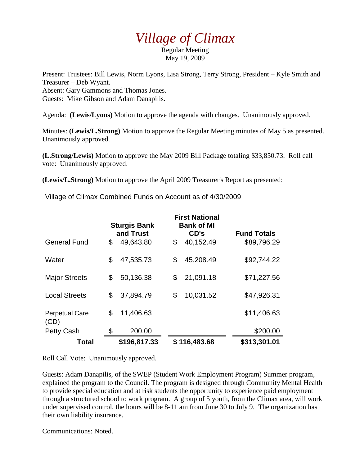## *Village of Climax*

Regular Meeting May 19, 2009

Present: Trustees: Bill Lewis, Norm Lyons, Lisa Strong, Terry Strong, President – Kyle Smith and Treasurer – Deb Wyant. Absent: Gary Gammons and Thomas Jones. Guests: Mike Gibson and Adam Danapilis.

Agenda: **(Lewis/Lyons)** Motion to approve the agenda with changes. Unanimously approved.

Minutes: **(Lewis/L.Strong)** Motion to approve the Regular Meeting minutes of May 5 as presented. Unanimously approved.

**(L.Strong/Lewis)** Motion to approve the May 2009 Bill Package totaling \$33,850.73. Roll call vote: Unanimously approved.

**(Lewis/L.Strong)** Motion to approve the April 2009 Treasurer's Report as presented:

Village of Climax Combined Funds on Account as of 4/30/2009

|                               | <b>Sturgis Bank</b><br>and Trust |           | <b>First National</b><br><b>Bank of MI</b><br>CD's |              | <b>Fund Totals</b> |
|-------------------------------|----------------------------------|-----------|----------------------------------------------------|--------------|--------------------|
| <b>General Fund</b>           | \$                               | 49,643.80 | \$                                                 | 40,152.49    | \$89,796.29        |
| Water                         | \$                               | 47,535.73 | \$                                                 | 45,208.49    | \$92,744.22        |
| <b>Major Streets</b>          | \$                               | 50,136.38 | \$                                                 | 21,091.18    | \$71,227.56        |
| <b>Local Streets</b>          | \$                               | 37,894.79 | \$                                                 | 10,031.52    | \$47,926.31        |
| <b>Perpetual Care</b><br>(CD) | \$                               | 11,406.63 |                                                    |              | \$11,406.63        |
| <b>Petty Cash</b>             | \$                               | 200.00    |                                                    |              | \$200.00           |
| Total                         | \$196,817.33                     |           |                                                    | \$116,483.68 | \$313,301.01       |

Roll Call Vote: Unanimously approved.

Guests: Adam Danapilis, of the SWEP (Student Work Employment Program) Summer program, explained the program to the Council. The program is designed through Community Mental Health to provide special education and at risk students the opportunity to experience paid employment through a structured school to work program. A group of 5 youth, from the Climax area, will work under supervised control, the hours will be 8-11 am from June 30 to July 9. The organization has their own liability insurance.

Communications: Noted.